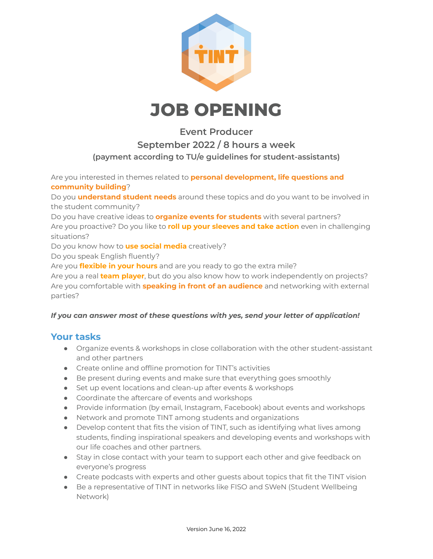

# **JOB OPENING**

### **Event Producer September 2022 / 8 hours a week (payment according to TU/e guidelines for student-assistants)**

Are you interested in themes related to **personal development, life questions and community building**?

Do you **understand student needs** around these topics and do you want to be involved in the student community?

Do you have creative ideas to **organize events for students** with several partners? Are you proactive? Do you like to **roll up your sleeves and take action** even in challenging situations?

Do you know how to **use social media** creatively?

Do you speak English fluently?

Are you **flexible in your hours** and are you ready to go the extra mile?

Are you a real **team player**, but do you also know how to work independently on projects? Are you comfortable with **speaking in front of an audience** and networking with external parties?

#### *If you can answer most of these questions with yes, send your letter of application!*

#### **Your tasks**

- Organize events & workshops in close collaboration with the other student-assistant and other partners
- Create online and offline promotion for TINT's activities
- Be present during events and make sure that everything goes smoothly
- Set up event locations and clean-up after events & workshops
- Coordinate the aftercare of events and workshops
- Provide information (by email, Instagram, Facebook) about events and workshops
- Network and promote TINT among students and organizations
- Develop content that fits the vision of TINT, such as identifying what lives among students, finding inspirational speakers and developing events and workshops with our life coaches and other partners.
- Stay in close contact with your team to support each other and give feedback on everyone's progress
- Create podcasts with experts and other guests about topics that fit the TINT vision
- Be a representative of TINT in networks like FISO and SWeN (Student Wellbeing Network)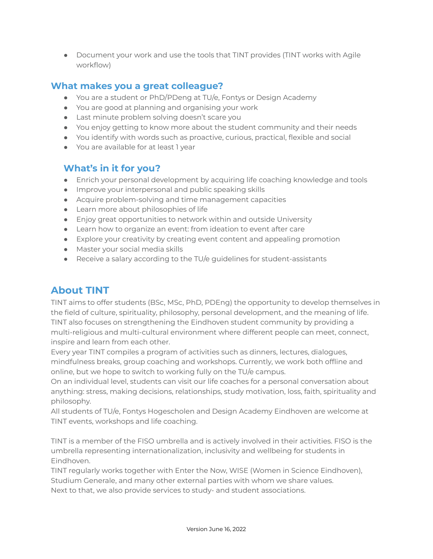● Document your work and use the tools that TINT provides (TINT works with Agile workflow)

#### **What makes you a great colleague?**

- You are a student or PhD/PDeng at TU/e, Fontys or Design Academy
- You are good at planning and organising your work
- Last minute problem solving doesn't scare you
- You enjoy getting to know more about the student community and their needs
- You identify with words such as proactive, curious, practical, flexible and social
- You are available for at least 1 year

#### **What's in it for you?**

- Enrich your personal development by acquiring life coaching knowledge and tools
- Improve your interpersonal and public speaking skills
- Acquire problem-solving and time management capacities
- Learn more about philosophies of life
- Enjoy great opportunities to network within and outside University
- Learn how to organize an event: from ideation to event after care
- Explore your creativity by creating event content and appealing promotion
- Master your social media skills
- Receive a salary according to the TU/e quidelines for student-assistants

## **About TINT**

TINT aims to offer students (BSc, MSc, PhD, PDEng) the opportunity to develop themselves in the field of culture, spirituality, philosophy, personal development, and the meaning of life. TINT also focuses on strengthening the Eindhoven student community by providing a multi-religious and multi-cultural environment where different people can meet, connect, inspire and learn from each other.

Every year TINT compiles a program of activities such as dinners, lectures, dialogues, mindfulness breaks, group coaching and workshops. Currently, we work both offline and online, but we hope to switch to working fully on the TU/e campus.

On an individual level, students can visit our life coaches for a personal conversation about anything: stress, making decisions, relationships, study motivation, loss, faith, spirituality and philosophy.

All students of TU/e, Fontys Hogescholen and Design Academy Eindhoven are welcome at TINT events, workshops and life coaching.

TINT is a member of the FISO umbrella and is actively involved in their activities. FISO is the umbrella representing internationalization, inclusivity and wellbeing for students in Eindhoven.

TINT regularly works together with Enter the Now, WISE (Women in Science Eindhoven), Studium Generale, and many other external parties with whom we share values. Next to that, we also provide services to study- and student associations.